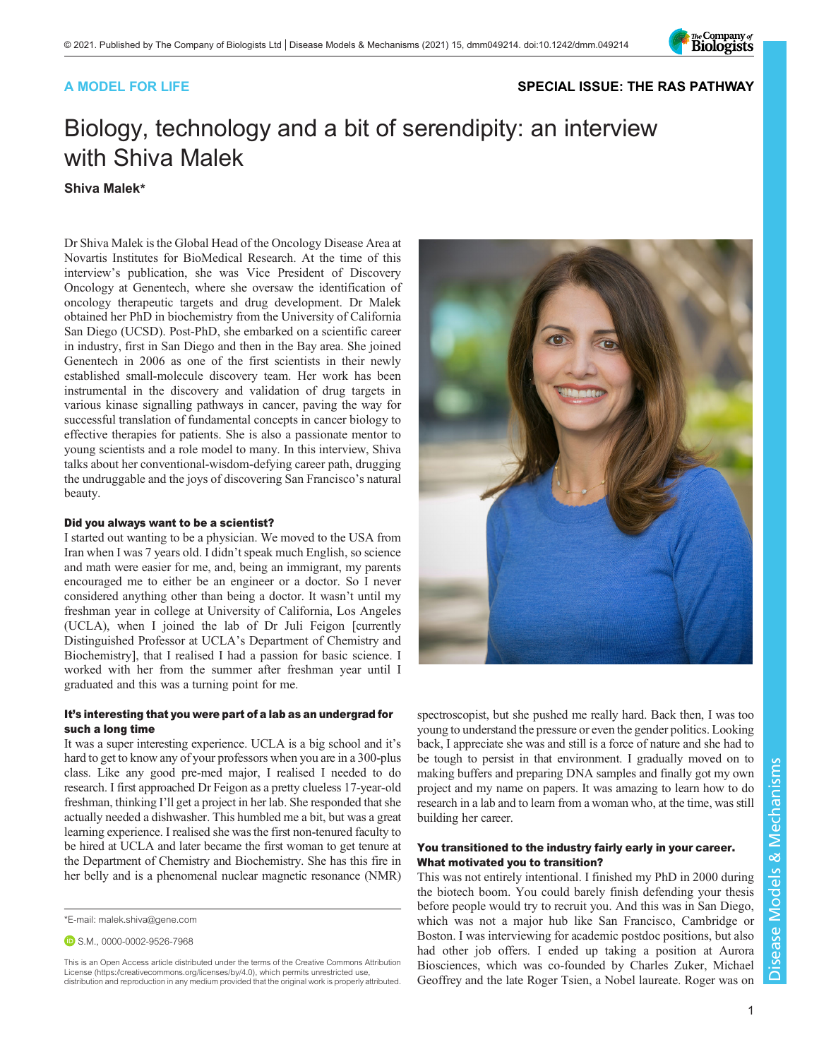

### A MODEL FOR LIFE [SPECIAL ISSUE: THE RAS PATHWAY](https://journals.biologists.com/dmm/collection/5089/The-RAS-Pathway)

# Biology, technology and a bit of serendipity: an interview with Shiva Malek

#### Shiva Malek\*

Dr Shiva Malek is the Global Head of the Oncology Disease Area at Novartis Institutes for BioMedical Research. At the time of this interview's publication, she was Vice President of Discovery Oncology at Genentech, where she oversaw the identification of oncology therapeutic targets and drug development. Dr Malek obtained her PhD in biochemistry from the University of California San Diego (UCSD). Post-PhD, she embarked on a scientific career in industry, first in San Diego and then in the Bay area. She joined Genentech in 2006 as one of the first scientists in their newly established small-molecule discovery team. Her work has been instrumental in the discovery and validation of drug targets in various kinase signalling pathways in cancer, paving the way for successful translation of fundamental concepts in cancer biology to effective therapies for patients. She is also a passionate mentor to young scientists and a role model to many. In this interview, Shiva talks about her conventional-wisdom-defying career path, drugging the undruggable and the joys of discovering San Francisco's natural beauty.

#### Did you always want to be a scientist?

I started out wanting to be a physician. We moved to the USA from Iran when I was 7 years old. I didn't speak much English, so science and math were easier for me, and, being an immigrant, my parents encouraged me to either be an engineer or a doctor. So I never considered anything other than being a doctor. It wasn't until my freshman year in college at University of California, Los Angeles (UCLA), when I joined the lab of Dr Juli Feigon [currently Distinguished Professor at UCLA's Department of Chemistry and Biochemistry], that I realised I had a passion for basic science. I worked with her from the summer after freshman year until I graduated and this was a turning point for me.

#### It's interesting that you were part of a lab as an undergrad for such a long time

It was a super interesting experience. UCLA is a big school and it's hard to get to know any of your professors when you are in a 300-plus class. Like any good pre-med major, I realised I needed to do research. I first approached Dr Feigon as a pretty clueless 17-year-old freshman, thinking I'll get a project in her lab. She responded that she actually needed a dishwasher. This humbled me a bit, but was a great learning experience. I realised she was the first non-tenured faculty to be hired at UCLA and later became the first woman to get tenure at the Department of Chemistry and Biochemistry. She has this fire in her belly and is a phenomenal nuclear magnetic resonance (NMR)

This is an Open Access article distributed under the terms of the Creative Commons Attribution License (https://creativecommons.org/licenses/by/4.0), which permits unrestricted use, distribution and reproduction in any medium provided that the original work is properly attributed.



spectroscopist, but she pushed me really hard. Back then, I was too young to understand the pressure or even the gender politics. Looking back, I appreciate she was and still is a force of nature and she had to be tough to persist in that environment. I gradually moved on to making buffers and preparing DNA samples and finally got my own project and my name on papers. It was amazing to learn how to do research in a lab and to learn from a woman who, at the time, was still building her career.

#### You transitioned to the industry fairly early in your career. What motivated you to transition?

This was not entirely intentional. I finished my PhD in 2000 during the biotech boom. You could barely finish defending your thesis before people would try to recruit you. And this was in San Diego, which was not a major hub like San Francisco, Cambridge or Boston. I was interviewing for academic postdoc positions, but also had other job offers. I ended up taking a position at Aurora Biosciences, which was co-founded by Charles Zuker, Michael Geoffrey and the late Roger Tsien, a Nobel laureate. Roger was on

<sup>\*</sup>E-mail: [malek.shiva@gene.com](mailto:malek.shiva@gene.com)

**D.S.M., [0000-0002-9526-7968](http://orcid.org/0000-0002-9526-7968)**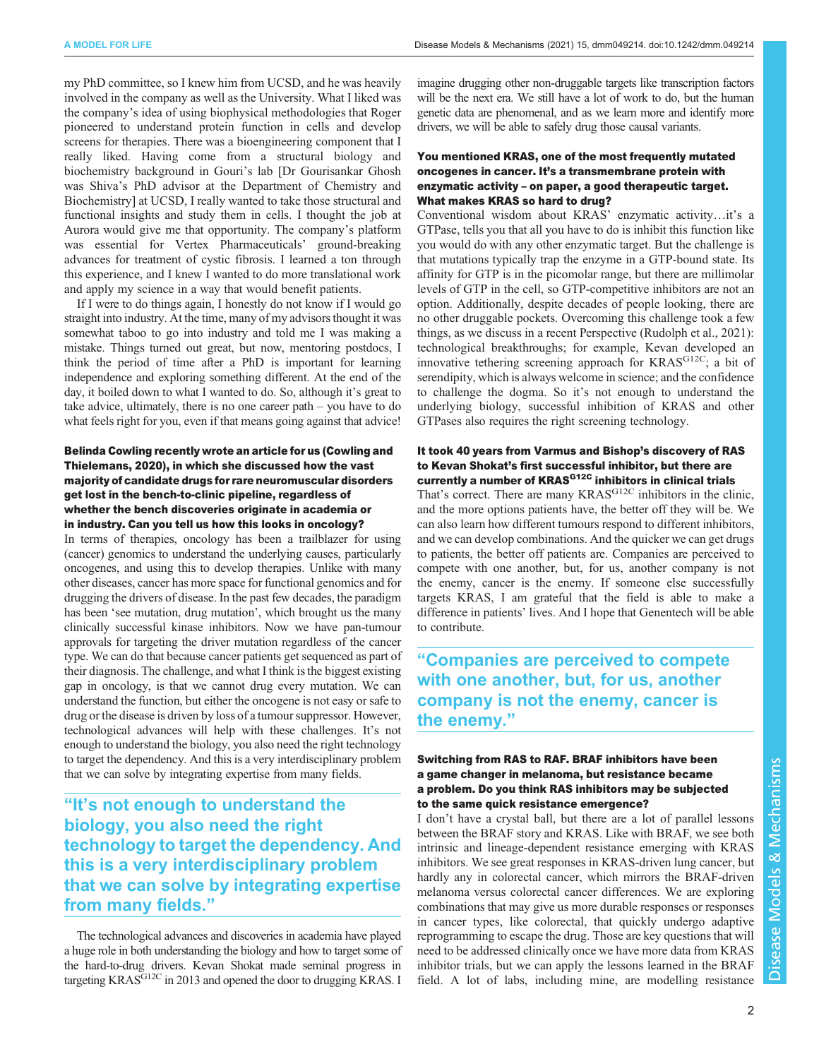my PhD committee, so I knew him from UCSD, and he was heavily involved in the company as well as the University. What I liked was the company's idea of using biophysical methodologies that Roger pioneered to understand protein function in cells and develop screens for therapies. There was a bioengineering component that I really liked. Having come from a structural biology and biochemistry background in Gouri's lab [Dr Gourisankar Ghosh was Shiva's PhD advisor at the Department of Chemistry and Biochemistry] at UCSD, I really wanted to take those structural and functional insights and study them in cells. I thought the job at Aurora would give me that opportunity. The company's platform was essential for Vertex Pharmaceuticals' ground-breaking advances for treatment of cystic fibrosis. I learned a ton through this experience, and I knew I wanted to do more translational work and apply my science in a way that would benefit patients.

If I were to do things again, I honestly do not know if I would go straight into industry. At the time, many of my advisors thought it was somewhat taboo to go into industry and told me I was making a mistake. Things turned out great, but now, mentoring postdocs, I think the period of time after a PhD is important for learning independence and exploring something different. At the end of the day, it boiled down to what I wanted to do. So, although it's great to take advice, ultimately, there is no one career path – you have to do what feels right for you, even if that means going against that advice!

#### Belinda Cowling recently wrote an article for us [\(Cowling and](#page-2-0) [Thielemans, 2020](#page-2-0)), in which she discussed how the vast majority of candidate drugs for rare neuromuscular disorders get lost in the bench-to-clinic pipeline, regardless of whether the bench discoveries originate in academia or in industry. Can you tell us how this looks in oncology?

In terms of therapies, oncology has been a trailblazer for using (cancer) genomics to understand the underlying causes, particularly oncogenes, and using this to develop therapies. Unlike with many other diseases, cancer has more space for functional genomics and for drugging the drivers of disease. In the past few decades, the paradigm has been 'see mutation, drug mutation', which brought us the many clinically successful kinase inhibitors. Now we have pan-tumour approvals for targeting the driver mutation regardless of the cancer type. We can do that because cancer patients get sequenced as part of their diagnosis. The challenge, and what I think is the biggest existing gap in oncology, is that we cannot drug every mutation. We can understand the function, but either the oncogene is not easy or safe to drug or the disease is driven by loss of a tumour suppressor. However, technological advances will help with these challenges. It's not enough to understand the biology, you also need the right technology to target the dependency. And this is a very interdisciplinary problem that we can solve by integrating expertise from many fields.

# "It's not enough to understand the biology, you also need the right technology to target the dependency. And this is a very interdisciplinary problem that we can solve by integrating expertise from many fields."

The technological advances and discoveries in academia have played a huge role in both understanding the biology and how to target some of the hard-to-drug drivers. Kevan Shokat made seminal progress in targeting KRAS<sup>G12C</sup> in 2013 and opened the door to drugging KRAS. I

imagine drugging other non-druggable targets like transcription factors will be the next era. We still have a lot of work to do, but the human genetic data are phenomenal, and as we learn more and identify more drivers, we will be able to safely drug those causal variants.

#### You mentioned KRAS, one of the most frequently mutated oncogenes in cancer. It's a transmembrane protein with enzymatic activity – on paper, a good therapeutic target. What makes KRAS so hard to drug?

Conventional wisdom about KRAS' enzymatic activity…it's a GTPase, tells you that all you have to do is inhibit this function like you would do with any other enzymatic target. But the challenge is that mutations typically trap the enzyme in a GTP-bound state. Its affinity for GTP is in the picomolar range, but there are millimolar levels of GTP in the cell, so GTP-competitive inhibitors are not an option. Additionally, despite decades of people looking, there are no other druggable pockets. Overcoming this challenge took a few things, as we discuss in a recent Perspective ([Rudolph et al., 2021](#page-2-0)): technological breakthroughs; for example, Kevan developed an innovative tethering screening approach for KRASG12C; a bit of serendipity, which is always welcome in science; and the confidence to challenge the dogma. So it's not enough to understand the underlying biology, successful inhibition of KRAS and other GTPases also requires the right screening technology.

#### It took 40 years from Varmus and Bishop's discovery of RAS to Kevan Shokat's first successful inhibitor, but there are currently a number of KRAS<sup>G12C</sup> inhibitors in clinical trials

That's correct. There are many KRAS<sup>G12C</sup> inhibitors in the clinic, and the more options patients have, the better off they will be. We can also learn how different tumours respond to different inhibitors, and we can develop combinations. And the quicker we can get drugs to patients, the better off patients are. Companies are perceived to compete with one another, but, for us, another company is not the enemy, cancer is the enemy. If someone else successfully targets KRAS, I am grateful that the field is able to make a difference in patients' lives. And I hope that Genentech will be able to contribute.

"Companies are perceived to compete with one another, but, for us, another company is not the enemy, cancer is the enemy."

#### Switching from RAS to RAF. BRAF inhibitors have been a game changer in melanoma, but resistance became a problem. Do you think RAS inhibitors may be subjected to the same quick resistance emergence?

I don't have a crystal ball, but there are a lot of parallel lessons between the BRAF story and KRAS. Like with BRAF, we see both intrinsic and lineage-dependent resistance emerging with KRAS inhibitors. We see great responses in KRAS-driven lung cancer, but hardly any in colorectal cancer, which mirrors the BRAF-driven melanoma versus colorectal cancer differences. We are exploring combinations that may give us more durable responses or responses in cancer types, like colorectal, that quickly undergo adaptive reprogramming to escape the drug. Those are key questions that will need to be addressed clinically once we have more data from KRAS inhibitor trials, but we can apply the lessons learned in the BRAF field. A lot of labs, including mine, are modelling resistance